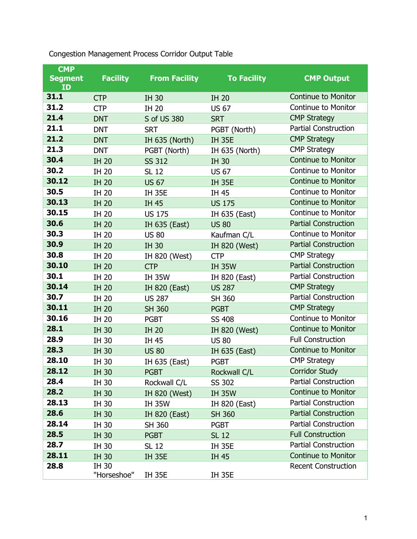| <b>CMP</b>           |                      |                      |                    |                             |
|----------------------|----------------------|----------------------|--------------------|-----------------------------|
| <b>Segment</b><br>ID | <b>Facility</b>      | <b>From Facility</b> | <b>To Facility</b> | <b>CMP Output</b>           |
| 31.1                 | <b>CTP</b>           | <b>IH 30</b>         | <b>IH 20</b>       | <b>Continue to Monitor</b>  |
| 31.2                 | <b>CTP</b>           | <b>IH 20</b>         | <b>US 67</b>       | <b>Continue to Monitor</b>  |
| 21.4                 | <b>DNT</b>           | S of US 380          | <b>SRT</b>         | <b>CMP Strategy</b>         |
| 21.1                 | <b>DNT</b>           | <b>SRT</b>           | PGBT (North)       | <b>Partial Construction</b> |
| 21.2                 | <b>DNT</b>           | IH 635 (North)       | <b>IH 35E</b>      | <b>CMP Strategy</b>         |
| 21.3                 | <b>DNT</b>           | PGBT (North)         | IH 635 (North)     | <b>CMP Strategy</b>         |
| 30.4                 | <b>IH 20</b>         | <b>SS 312</b>        | <b>IH 30</b>       | <b>Continue to Monitor</b>  |
| 30.2                 | <b>IH 20</b>         | <b>SL 12</b>         | <b>US 67</b>       | <b>Continue to Monitor</b>  |
| 30.12                | <b>IH 20</b>         | <b>US 67</b>         | <b>IH 35E</b>      | <b>Continue to Monitor</b>  |
| 30.5                 | <b>IH 20</b>         | <b>IH 35E</b>        | IH 45              | <b>Continue to Monitor</b>  |
| 30.13                | <b>IH 20</b>         | <b>IH 45</b>         | <b>US 175</b>      | <b>Continue to Monitor</b>  |
| 30.15                | <b>IH 20</b>         | <b>US 175</b>        | IH 635 (East)      | <b>Continue to Monitor</b>  |
| 30.6                 | <b>IH 20</b>         | IH 635 (East)        | <b>US 80</b>       | <b>Partial Construction</b> |
| 30.3                 | <b>IH 20</b>         | <b>US 80</b>         | Kaufman C/L        | <b>Continue to Monitor</b>  |
| 30.9                 | <b>IH 20</b>         | <b>IH 30</b>         | IH 820 (West)      | <b>Partial Construction</b> |
| 30.8                 | <b>IH 20</b>         | IH 820 (West)        | <b>CTP</b>         | <b>CMP Strategy</b>         |
| 30.10                | <b>IH 20</b>         | <b>CTP</b>           | <b>IH 35W</b>      | <b>Partial Construction</b> |
| 30.1                 | <b>IH 20</b>         | <b>IH 35W</b>        | IH 820 (East)      | <b>Partial Construction</b> |
| 30.14                | <b>IH 20</b>         | IH 820 (East)        | <b>US 287</b>      | <b>CMP Strategy</b>         |
| 30.7                 | IH 20                | <b>US 287</b>        | SH 360             | <b>Partial Construction</b> |
| 30.11                | <b>IH 20</b>         | <b>SH 360</b>        | <b>PGBT</b>        | <b>CMP Strategy</b>         |
| 30.16                | <b>IH 20</b>         | <b>PGBT</b>          | <b>SS 408</b>      | <b>Continue to Monitor</b>  |
| 28.1                 | <b>IH 30</b>         | <b>IH 20</b>         | IH 820 (West)      | <b>Continue to Monitor</b>  |
| 28.9                 | IH 30                | IH 45                | <b>US 80</b>       | <b>Full Construction</b>    |
| 28.3                 | <b>IH 30</b>         | <b>US 80</b>         | IH 635 (East)      | <b>Continue to Monitor</b>  |
| 28.10                | IH 30                | IH 635 (East)        | <b>PGBT</b>        | <b>CMP Strategy</b>         |
| 28.12                | <b>IH 30</b>         | <b>PGBT</b>          | Rockwall C/L       | <b>Corridor Study</b>       |
| 28.4                 | IH 30                | Rockwall C/L         | SS 302             | <b>Partial Construction</b> |
| 28.2                 | <b>IH 30</b>         | IH 820 (West)        | <b>IH 35W</b>      | <b>Continue to Monitor</b>  |
| 28.13                | IH 30                | <b>IH 35W</b>        | IH 820 (East)      | <b>Partial Construction</b> |
| 28.6                 | <b>IH 30</b>         | IH 820 (East)        | <b>SH 360</b>      | <b>Partial Construction</b> |
| 28.14                | IH 30                | SH 360               | <b>PGBT</b>        | <b>Partial Construction</b> |
| 28.5                 | <b>IH 30</b>         | <b>PGBT</b>          | <b>SL 12</b>       | <b>Full Construction</b>    |
| 28.7                 | IH 30                | SL 12                | <b>IH 35E</b>      | <b>Partial Construction</b> |
| 28.11                | <b>IH 30</b>         | <b>IH 35E</b>        | IH 45              | <b>Continue to Monitor</b>  |
| 28.8                 | IH 30<br>"Horseshoe" | <b>IH 35E</b>        | <b>IH 35E</b>      | <b>Recent Construction</b>  |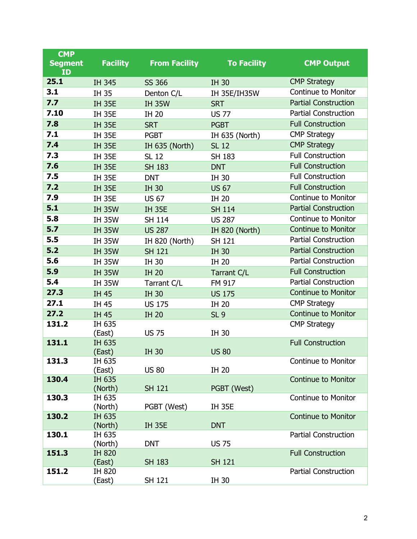| <b>CMP</b>     |                   |                      |                     |                             |
|----------------|-------------------|----------------------|---------------------|-----------------------------|
| <b>Segment</b> | <b>Facility</b>   | <b>From Facility</b> | <b>To Facility</b>  | <b>CMP Output</b>           |
| ID<br>25.1     |                   |                      |                     | <b>CMP Strategy</b>         |
| 3.1            | IH 345<br>IH 35   | <b>SS 366</b>        | <b>IH 30</b>        | Continue to Monitor         |
| 7.7            |                   | Denton C/L           | <b>IH 35E/IH35W</b> | <b>Partial Construction</b> |
| 7.10           | <b>IH 35E</b>     | <b>IH 35W</b>        | <b>SRT</b>          | <b>Partial Construction</b> |
| 7.8            | <b>IH 35E</b>     | <b>IH 20</b>         | <b>US 77</b>        | <b>Full Construction</b>    |
| 7.1            | <b>IH 35E</b>     | <b>SRT</b>           | <b>PGBT</b>         | <b>CMP Strategy</b>         |
| 7.4            | <b>IH 35E</b>     | <b>PGBT</b>          | IH 635 (North)      | <b>CMP Strategy</b>         |
| 7.3            | <b>IH 35E</b>     | IH 635 (North)       | <b>SL 12</b>        | <b>Full Construction</b>    |
| 7.6            | <b>IH 35E</b>     | <b>SL 12</b>         | SH 183              | <b>Full Construction</b>    |
| 7.5            | <b>IH 35E</b>     | <b>SH 183</b>        | <b>DNT</b>          | <b>Full Construction</b>    |
| 7.2            | <b>IH 35E</b>     | <b>DNT</b>           | IH 30               | <b>Full Construction</b>    |
| 7.9            | <b>IH 35E</b>     | <b>IH 30</b>         | <b>US 67</b>        | <b>Continue to Monitor</b>  |
| 5.1            | <b>IH 35E</b>     | <b>US 67</b>         | <b>IH 20</b>        | <b>Partial Construction</b> |
|                | <b>IH 35W</b>     | <b>IH 35E</b>        | <b>SH 114</b>       |                             |
| 5.8            | <b>IH 35W</b>     | <b>SH 114</b>        | <b>US 287</b>       | <b>Continue to Monitor</b>  |
| 5.7            | <b>IH 35W</b>     | <b>US 287</b>        | IH 820 (North)      | <b>Continue to Monitor</b>  |
| 5.5            | <b>IH 35W</b>     | IH 820 (North)       | <b>SH 121</b>       | <b>Partial Construction</b> |
| 5.2            | <b>IH 35W</b>     | <b>SH 121</b>        | <b>IH 30</b>        | <b>Partial Construction</b> |
| 5.6            | <b>IH 35W</b>     | IH 30                | <b>IH 20</b>        | <b>Partial Construction</b> |
| 5.9            | <b>IH 35W</b>     | <b>IH 20</b>         | Tarrant C/L         | <b>Full Construction</b>    |
| 5.4            | <b>IH 35W</b>     | Tarrant C/L          | FM 917              | <b>Partial Construction</b> |
| 27.3           | <b>IH 45</b>      | <b>IH 30</b>         | <b>US 175</b>       | <b>Continue to Monitor</b>  |
| 27.1           | IH 45             | <b>US 175</b>        | <b>IH 20</b>        | <b>CMP Strategy</b>         |
| 27.2           | <b>IH 45</b>      | <b>IH 20</b>         | SL <sub>9</sub>     | <b>Continue to Monitor</b>  |
| 131.2          | IH 635            |                      |                     | <b>CMP Strategy</b>         |
| 131.1          | (East)<br>IH 635  | <b>US 75</b>         | IH 30               | <b>Full Construction</b>    |
|                | (East)            | <b>IH 30</b>         | <b>US 80</b>        |                             |
| 131.3          | IH 635            |                      |                     | <b>Continue to Monitor</b>  |
|                | (East)            | <b>US 80</b>         | IH 20               |                             |
| 130.4          | IH 635            |                      |                     | <b>Continue to Monitor</b>  |
|                | (North)           | <b>SH 121</b>        | PGBT (West)         |                             |
| 130.3          | IH 635            |                      |                     | <b>Continue to Monitor</b>  |
|                | (North)           | PGBT (West)          | <b>IH 35E</b>       |                             |
| 130.2          | IH 635<br>(North) | <b>IH 35E</b>        | <b>DNT</b>          | <b>Continue to Monitor</b>  |
| 130.1          | IH 635            |                      |                     | <b>Partial Construction</b> |
|                | (North)           | <b>DNT</b>           | <b>US 75</b>        |                             |
| 151.3          | <b>IH 820</b>     |                      |                     | <b>Full Construction</b>    |
|                | (East)            | <b>SH 183</b>        | <b>SH 121</b>       |                             |
| 151.2          | IH 820            |                      |                     | <b>Partial Construction</b> |
|                | (East)            | <b>SH 121</b>        | IH 30               |                             |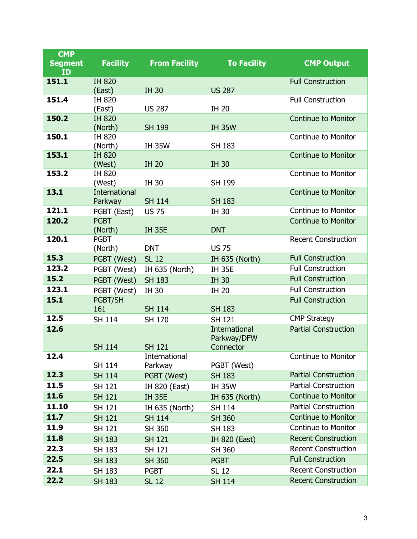| <b>CMP</b>     |                         |                      |                                     |                             |
|----------------|-------------------------|----------------------|-------------------------------------|-----------------------------|
| <b>Segment</b> | <b>Facility</b>         | <b>From Facility</b> | <b>To Facility</b>                  | <b>CMP Output</b>           |
| ID             |                         |                      |                                     |                             |
| 151.1          | <b>IH 820</b><br>(East) | <b>IH 30</b>         | <b>US 287</b>                       | <b>Full Construction</b>    |
| 151.4          | IH 820                  |                      |                                     | <b>Full Construction</b>    |
|                | (East)                  | <b>US 287</b>        | <b>IH 20</b>                        |                             |
| 150.2          | <b>IH 820</b>           |                      |                                     | <b>Continue to Monitor</b>  |
|                | (North)                 | <b>SH 199</b>        | <b>IH 35W</b>                       |                             |
| 150.1          | <b>IH 820</b>           |                      |                                     | <b>Continue to Monitor</b>  |
|                | (North)                 | <b>IH 35W</b>        | SH 183                              |                             |
| 153.1          | <b>IH 820</b>           |                      |                                     | <b>Continue to Monitor</b>  |
|                | (West)<br><b>IH 820</b> | <b>IH 20</b>         | <b>IH 30</b>                        | <b>Continue to Monitor</b>  |
| 153.2          | (West)                  | IH 30                | SH 199                              |                             |
| 13.1           | <b>International</b>    |                      |                                     | <b>Continue to Monitor</b>  |
|                | Parkway                 | <b>SH 114</b>        | <b>SH 183</b>                       |                             |
| 121.1          | PGBT (East)             | <b>US 75</b>         | <b>IH 30</b>                        | <b>Continue to Monitor</b>  |
| 120.2          | <b>PGBT</b>             |                      |                                     | <b>Continue to Monitor</b>  |
|                | (North)                 | <b>IH 35E</b>        | <b>DNT</b>                          |                             |
| 120.1          | <b>PGBT</b>             |                      |                                     | <b>Recent Construction</b>  |
|                | (North)                 | <b>DNT</b>           | <b>US 75</b>                        |                             |
| 15.3           | PGBT (West)             | <b>SL 12</b>         | IH 635 (North)                      | <b>Full Construction</b>    |
| 123.2          | PGBT (West)             | IH 635 (North)       | <b>IH 35E</b>                       | <b>Full Construction</b>    |
| 15.2           | PGBT (West)             | <b>SH 183</b>        | <b>IH 30</b>                        | <b>Full Construction</b>    |
| 123.1          | PGBT (West)             | <b>IH 30</b>         | <b>IH 20</b>                        | <b>Full Construction</b>    |
| 15.1           | PGBT/SH                 |                      |                                     | <b>Full Construction</b>    |
|                | 161                     | <b>SH 114</b>        | <b>SH 183</b>                       |                             |
| 12.5           | <b>SH 114</b>           | SH 170               | <b>SH 121</b>                       | <b>CMP Strategy</b>         |
| 12.6           |                         |                      | <b>International</b><br>Parkway/DFW | <b>Partial Construction</b> |
|                | <b>SH 114</b>           | <b>SH 121</b>        | Connector                           |                             |
| 12.4           |                         | International        |                                     | <b>Continue to Monitor</b>  |
|                | <b>SH 114</b>           | Parkway              | PGBT (West)                         |                             |
| 12.3           | <b>SH 114</b>           | PGBT (West)          | <b>SH 183</b>                       | <b>Partial Construction</b> |
| 11.5           | SH 121                  | IH 820 (East)        | <b>IH 35W</b>                       | <b>Partial Construction</b> |
| 11.6           | <b>SH 121</b>           | <b>IH 35E</b>        | <b>IH 635 (North)</b>               | <b>Continue to Monitor</b>  |
| 11.10          | <b>SH 121</b>           | IH 635 (North)       | <b>SH 114</b>                       | <b>Partial Construction</b> |
| 11.7           | <b>SH 121</b>           | <b>SH 114</b>        | <b>SH 360</b>                       | <b>Continue to Monitor</b>  |
| 11.9           | <b>SH 121</b>           | SH 360               | SH 183                              | <b>Continue to Monitor</b>  |
| 11.8           | <b>SH 183</b>           | <b>SH 121</b>        | IH 820 (East)                       | <b>Recent Construction</b>  |
| 22.3           | SH 183                  | <b>SH 121</b>        | SH 360                              | <b>Recent Construction</b>  |
| 22.5           | <b>SH 183</b>           | <b>SH 360</b>        | <b>PGBT</b>                         | <b>Full Construction</b>    |
| 22.1           | SH 183                  | <b>PGBT</b>          | SL 12                               | <b>Recent Construction</b>  |
| 22.2           | <b>SH 183</b>           | <b>SL 12</b>         | <b>SH 114</b>                       | <b>Recent Construction</b>  |